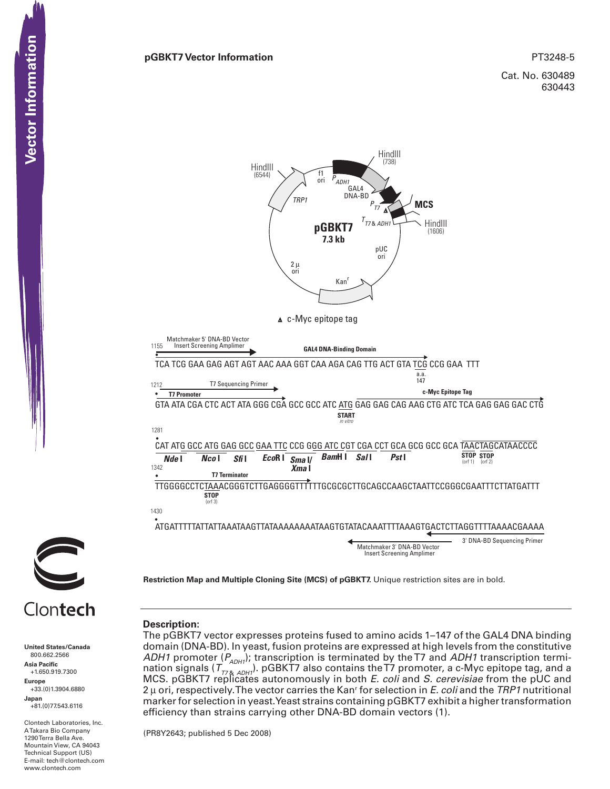Cat. No. 630489 630443





# Clontech

**United States/Canada** 800.662.2566 **Asia Pacific** +1.650.919.7300 **Europe** +33.(0)1.3904.6880 **Japan** +81.(0)77.543.6116 **CONTEXT SOLUT SET AND SET AND SET AND SET AND SET AND SET AND SET AND SET AND SET AND SET AND SET AND SET AND SET AND SET AND SET AND SET AND SET AND SET AND SET AND SET AND SET AND SET AND SET AND SET AND SET AND SET AND** 

Clontech Laboratories, Inc. A Takara Bio Company 1290 Terra Bella Ave. Mountain View, CA 94043 Technical Support (US) E-mail: tech@clontech.com

## **Description:**

The pGBKT7 vector expresses proteins fused to amino acids 1–147 of the GAL4 DNA binding domain (DNA-BD). In yeast, fusion proteins are expressed at high levels from the constitutive *ADH1* promoter ( $P_{ADHI}$ ); transcription is terminated by the T7 and *ADH1* transcription termination signals ( $T_{778,ADH1}$ ). pGBKT7 also contains the T7 promoter, a c-Myc epitope tag, and a MCS. pGBKT7 replicates autonomously in both *E. coli* and *S. cerevisiae* from the pUC and 2 μ ori, respectively. The vector carries the Kanr for selection in *E. coli* and the *TRP1* nutritional marker for selection in yeast. Yeast strains containing pGBKT7 exhibit a higher transformation efficiency than strains carrying other DNA-BD domain vectors (1).

(PR8Y2643; published 5 Dec 2008)